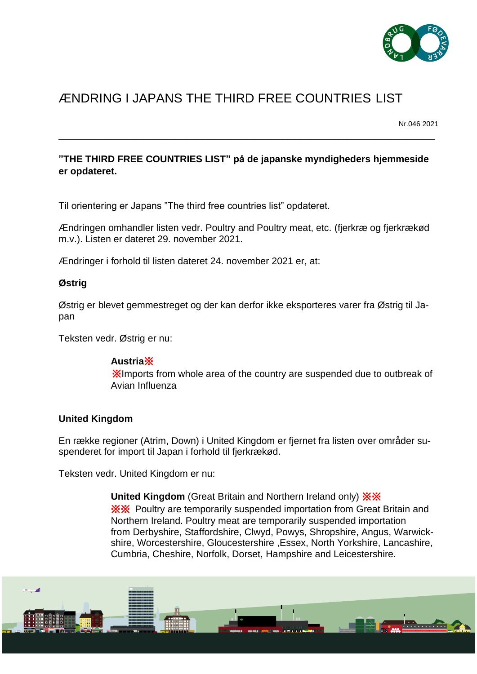

# ÆNDRING I JAPANS THE THIRD FREE COUNTRIES LIST

Nr.046 2021

### **"THE THIRD FREE COUNTRIES LIST" på de japanske myndigheders hjemmeside er opdateret.**

\_\_\_\_\_\_\_\_\_\_\_\_\_\_\_\_\_\_\_\_\_\_\_\_\_\_\_\_\_\_\_\_\_\_\_\_\_\_\_\_\_\_\_\_\_\_\_\_\_\_\_\_\_\_\_\_\_\_\_\_\_\_\_\_\_\_\_\_\_\_\_\_\_\_\_\_\_\_\_\_\_\_\_\_\_\_\_\_\_\_\_\_\_\_

Til orientering er Japans "The third free countries list" opdateret.

Ændringen omhandler listen vedr. Poultry and Poultry meat, etc. (fjerkræ og fjerkrækød m.v.). Listen er dateret 29. november 2021.

Ændringer i forhold til listen dateret 24. november 2021 er, at:

#### **Østrig**

Østrig er blevet gemmestreget og der kan derfor ikke eksporteres varer fra Østrig til Japan

Teksten vedr. Østrig er nu:

#### **Austria**※

※Imports from whole area of the country are suspended due to outbreak of Avian Influenza

#### **United Kingdom**

En række regioner (Atrim, Down) i United Kingdom er fjernet fra listen over områder suspenderet for import til Japan i forhold til fjerkrækød.

Teksten vedr. United Kingdom er nu:

**United Kingdom** (Great Britain and Northern Ireland only) ※※ ※※ Poultry are temporarily suspended importation from Great Britain and Northern Ireland. Poultry meat are temporarily suspended importation from Derbyshire, Staffordshire, Clwyd, Powys, Shropshire, Angus, Warwickshire, Worcestershire, Gloucestershire ,Essex, North Yorkshire, Lancashire, Cumbria, Cheshire, Norfolk, Dorset, Hampshire and Leicestershire.